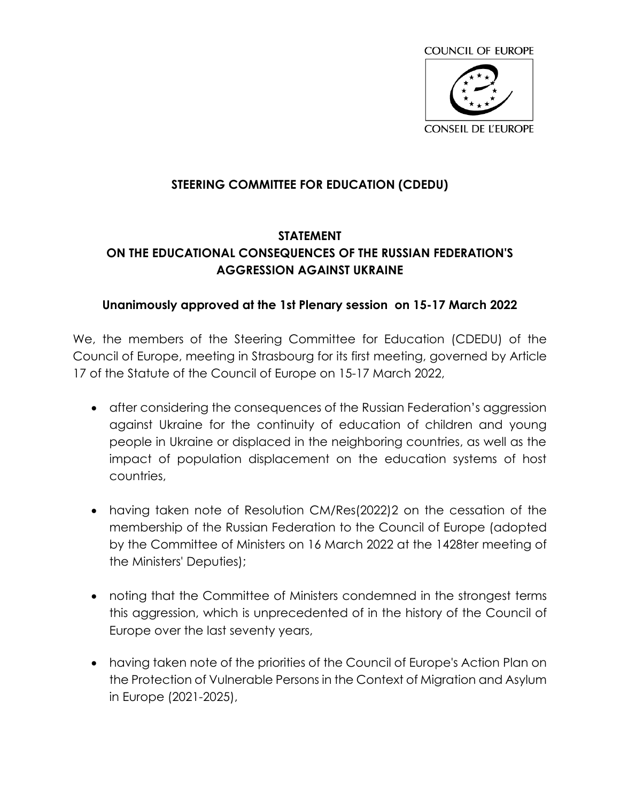

## **STEERING COMMITTEE FOR EDUCATION (CDEDU)**

## **STATEMENT ON THE EDUCATIONAL CONSEQUENCES OF THE RUSSIAN FEDERATION'S AGGRESSION AGAINST UKRAINE**

## **Unanimously approved at the 1st Plenary session on 15-17 March 2022**

We, the members of the Steering Committee for Education (CDEDU) of the Council of Europe, meeting in Strasbourg for its first meeting, governed by Article 17 of the Statute of the Council of Europe on 15-17 March 2022,

- after considering the consequences of the Russian Federation's aggression against Ukraine for the continuity of education of children and young people in Ukraine or displaced in the neighboring countries, as well as the impact of population displacement on the education systems of host countries,
- having taken note of Resolution CM/Res(2022)2 on the cessation of the membership of the Russian Federation to the Council of Europe (adopted by the Committee of Ministers on 16 March 2022 at the 1428ter meeting of the Ministers' Deputies);
- noting that the Committee of Ministers condemned in the strongest terms this aggression, which is unprecedented of in the history of the Council of Europe over the last seventy years,
- having taken note of the priorities of the Council of Europe's Action Plan on the Protection of Vulnerable Persons in the Context of Migration and Asylum in Europe (2021-2025),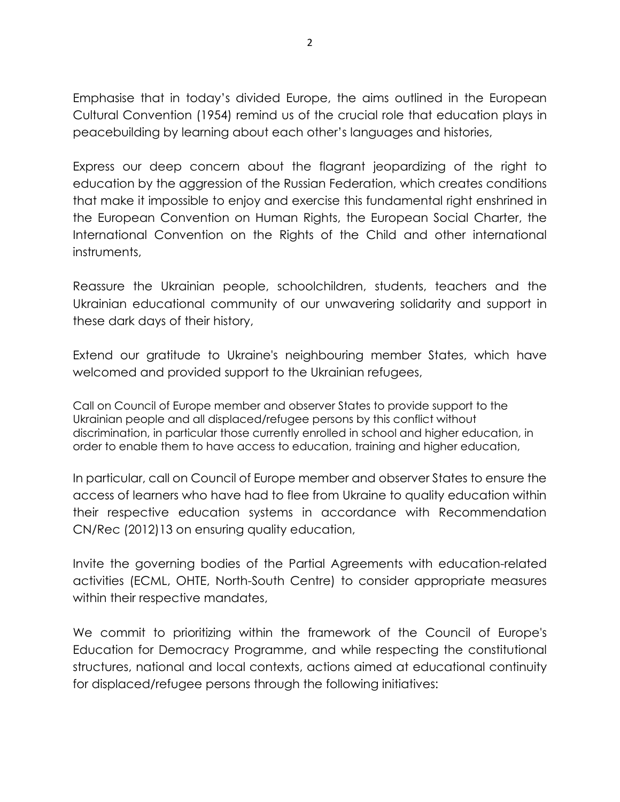Emphasise that in today's divided Europe, the aims outlined in the European Cultural Convention (1954) remind us of the crucial role that education plays in peacebuilding by learning about each other's languages and histories,

Express our deep concern about the flagrant jeopardizing of the right to education by the aggression of the Russian Federation, which creates conditions that make it impossible to enjoy and exercise this fundamental right enshrined in the European Convention on Human Rights, the European Social Charter, the International Convention on the Rights of the Child and other international instruments,

Reassure the Ukrainian people, schoolchildren, students, teachers and the Ukrainian educational community of our unwavering solidarity and support in these dark days of their history,

Extend our gratitude to Ukraine's neighbouring member States, which have welcomed and provided support to the Ukrainian refugees,

Call on Council of Europe member and observer States to provide support to the Ukrainian people and all displaced/refugee persons by this conflict without discrimination, in particular those currently enrolled in school and higher education, in order to enable them to have access to education, training and higher education,

In particular, call on Council of Europe member and observer States to ensure the access of learners who have had to flee from Ukraine to quality education within their respective education systems in accordance with Recommendation CN/Rec (2012)13 on ensuring quality education,

Invite the governing bodies of the Partial Agreements with education-related activities (ECML, OHTE, North-South Centre) to consider appropriate measures within their respective mandates,

We commit to prioritizing within the framework of the Council of Europe's Education for Democracy Programme, and while respecting the constitutional structures, national and local contexts, actions aimed at educational continuity for displaced/refugee persons through the following initiatives: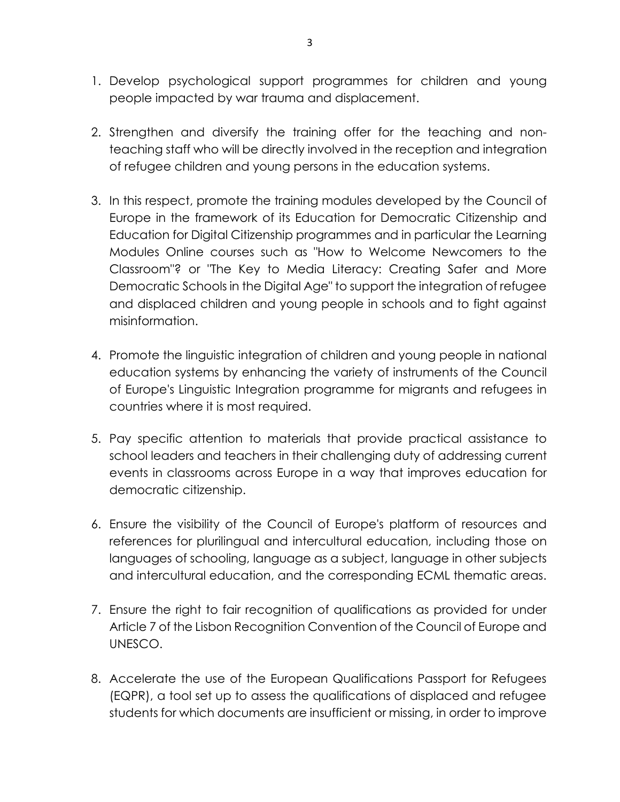- 1. Develop psychological support programmes for children and young people impacted by war trauma and displacement.
- 2. Strengthen and diversify the training offer for the teaching and nonteaching staff who will be directly involved in the reception and integration of refugee children and young persons in the education systems.
- 3. In this respect, promote the training modules developed by the Council of Europe in the framework of its Education for Democratic Citizenship and Education for Digital Citizenship programmes and in particular the Learning Modules Online courses such as "How to Welcome Newcomers to the Classroom"? or "The Key to Media Literacy: Creating Safer and More Democratic Schools in the Digital Age" to support the integration of refugee and displaced children and young people in schools and to fight against misinformation.
- 4. Promote the linguistic integration of children and young people in national education systems by enhancing the variety of instruments of the Council of Europe's Linguistic Integration programme for migrants and refugees in countries where it is most required.
- 5. Pay specific attention to materials that provide practical assistance to school leaders and teachers in their challenging duty of addressing current events in classrooms across Europe in a way that improves education for democratic citizenship.
- 6. Ensure the visibility of the Council of Europe's platform of resources and references for plurilingual and intercultural education, including those on languages of schooling, language as a subject, language in other subjects and intercultural education, and the corresponding ECML thematic areas.
- 7. Ensure the right to fair recognition of qualifications as provided for under Article 7 of the Lisbon Recognition Convention of the Council of Europe and UNESCO.
- 8. Accelerate the use of the European Qualifications Passport for Refugees (EQPR), a tool set up to assess the qualifications of displaced and refugee students for which documents are insufficient or missing, in order to improve